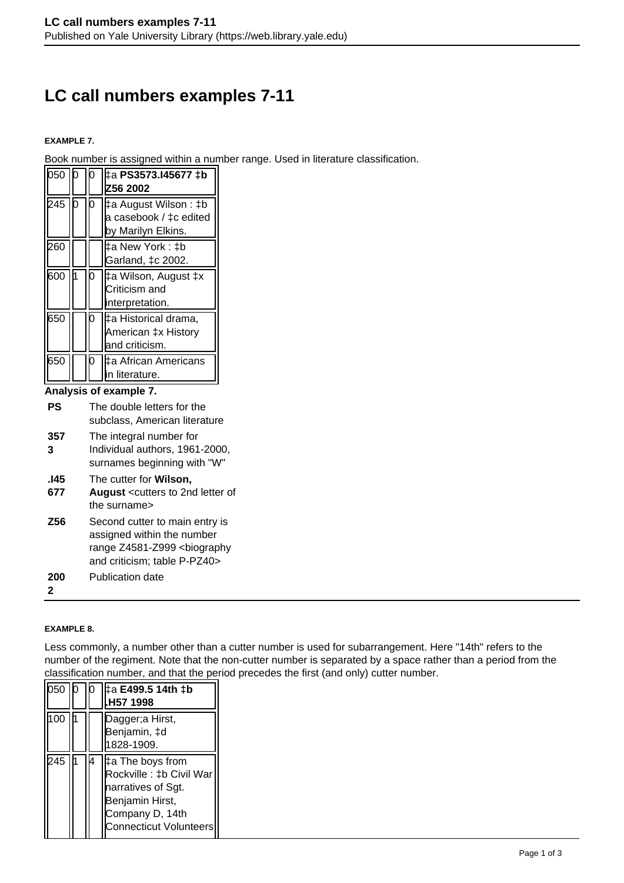# **LC call numbers examples 7-11**

#### **EXAMPLE 7.**

Book number is assigned within a number range. Used in literature classification.

| 050                    |  |   | ‡a PS3573.I45677 ‡b<br>Z56 2002                                       |
|------------------------|--|---|-----------------------------------------------------------------------|
| 245 l                  |  |   | ‡a August Wilson : ‡b<br>a casebook / ‡c edited<br>by Marilyn Elkins. |
| 260                    |  |   | ‡a New York : ‡b<br>Garland, ‡c 2002.                                 |
| 600                    |  | n | ‡a Wilson, August ‡x<br>Criticism and<br>interpretation.              |
| 650                    |  |   | ‡a Historical drama,<br>American ‡x History<br>and criticism.         |
| 650                    |  |   | ‡a African Americans<br>in literature.                                |
| Analysis of example 7. |  |   |                                                                       |

- **PS** The double letters for the subclass, American literature
- **357 3** The integral number for Individual authors, 1961-2000, surnames beginning with "W"

#### **.I45** The cutter for **Wilson,**

- **677 August** <cutters to 2nd letter of the surname>
- **Z56** Second cutter to main entry is assigned within the number range Z4581-Z999 <biography and criticism; table P-PZ40>

**200** Publication date

**2**

#### **EXAMPLE 8.**

Less commonly, a number other than a cutter number is used for subarrangement. Here "14th" refers to the number of the regiment. Note that the non-cutter number is separated by a space rather than a period from the classification number, and that the period precedes the first (and only) cutter number.

| 050 |  | ‡a E499.5 14th ‡b<br>H57 1998.                                                                                                     |
|-----|--|------------------------------------------------------------------------------------------------------------------------------------|
| 100 |  | Dagger;a Hirst,<br>Benjamin, ‡d<br>1828-1909.                                                                                      |
| 245 |  | ‡a The boys from<br>Rockville : ‡b Civil War<br>narratives of Sgt.<br>Benjamin Hirst,<br>Company D, 14th<br>Connecticut Volunteers |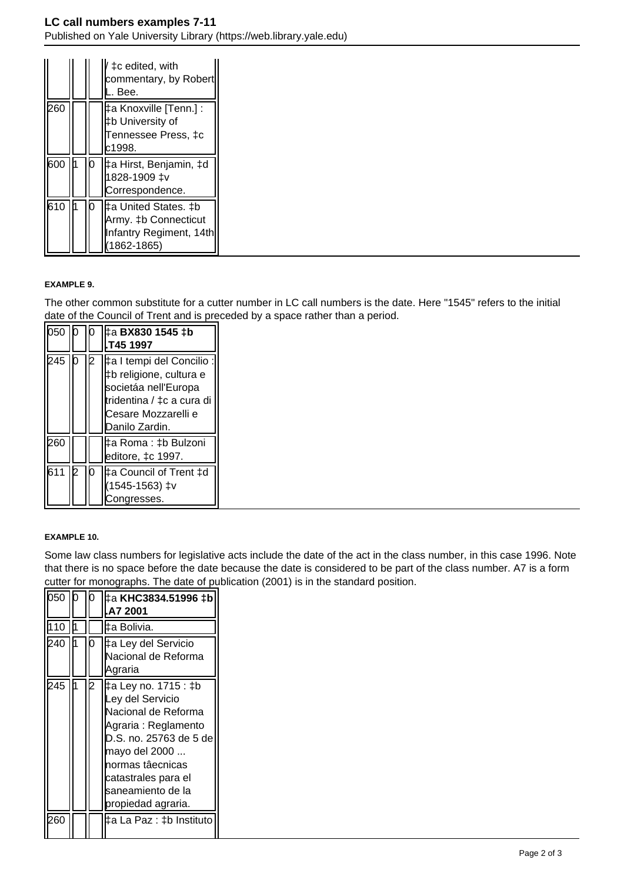| I   |    | ‡c edited, with<br>commentary, by Robert<br>Bee.                              |
|-----|----|-------------------------------------------------------------------------------|
| 260 |    | ‡a Knoxville [Tenn.] : ˈ<br>tb University of<br>Fennessee Press, ‡c<br>c1998. |
| 600 | IЮ | ∥‡a Hirst, Benjamin, ‡d<br>1828-1909 ‡v<br>Correspondence.                    |
| 610 | 10 | Army. ‡b Connecticut<br>Infantry Regiment, 14th<br>$(1862 - 1865)$            |

## **EXAMPLE 9.**

The other common substitute for a cutter number in LC call numbers is the date. Here "1545" refers to the initial date of the Council of Trent and is preceded by a space rather than a period.

| 050   0      | b   | ‡a BX830 1545 ‡b                                                                                                                                    |
|--------------|-----|-----------------------------------------------------------------------------------------------------------------------------------------------------|
|              |     | T45 1997                                                                                                                                            |
| 245 0        | 2   | ‡a I tempi del Concilio :<br>I‡b religione, cultura e<br>societáa nell'Europa<br>tridentina / ‡c a cura di<br>Cesare Mozzarelli e<br>Danilo Zardin. |
| 260<br>611 2 | IO. | ∣‡a Roma : ‡b Bulzoni<br>editore, ‡c 1997.<br>I‡a Council of Trent ‡d<br>1545-1563) ‡v<br>Congresses.                                               |

## **EXAMPLE 10.**

Some law class numbers for legislative acts include the date of the act in the class number, in this case 1996. Note that there is no space before the date because the date is considered to be part of the class number. A7 is a form cutter for monographs. The date of publication (2001) is in the standard position.

| 050 |   | ‡а KHC3834.51996 ‡b<br>A7 2001                                                                                                                                                                                                   |
|-----|---|----------------------------------------------------------------------------------------------------------------------------------------------------------------------------------------------------------------------------------|
| 110 |   | ‡a Bolivia.                                                                                                                                                                                                                      |
| 240 | O | ‡a Ley del Servicio<br>Nacional de Reforma<br>Agraria                                                                                                                                                                            |
| 245 |   | ‡a Ley no. 1715 : ‡b<br>Ley del Servicio<br>Nacional de Reforma<br>Agraria : Reglamento<br>D.S. no. 25763 de 5 de<br>mayo del 2000<br>hormas tâecnicas<br>catastrales para el<br><b>s</b> aneamiento de la<br>propiedad agraria. |
| 260 |   | ‡a La Paz : ‡b Instituto                                                                                                                                                                                                         |